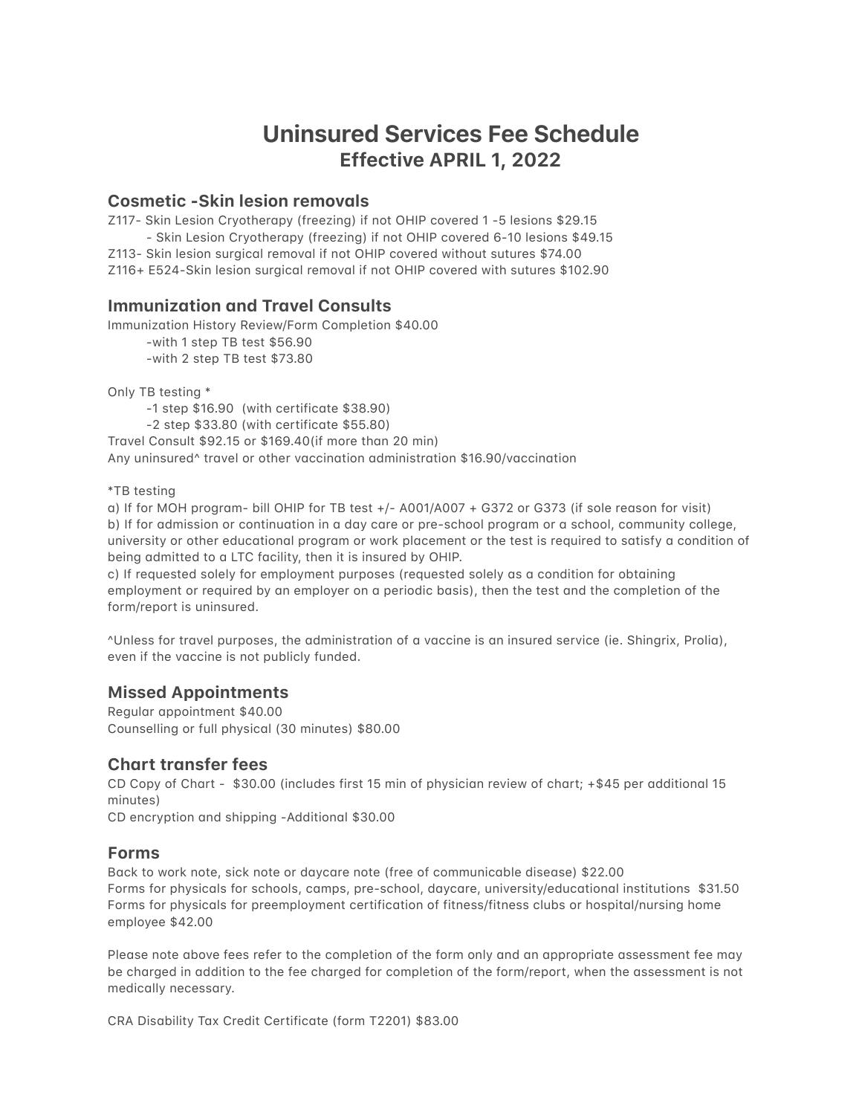# **Uninsured Services Fee Schedule Effective APRIL 1, 2022**

## **Cosmetic -Skin lesion removals**

Z117- Skin Lesion Cryotherapy (freezing) if not OHIP covered 1-5 lesions \$29.15 - Skin Lesion Cryotherapy (freezing) if not OHIP covered 6-10 lesions \$49.15 Z113- Skin lesion surgical removal if not OHIP covered without sutures \$74.00 Z116+ E524-Skin lesion surgical removal if not OHIP covered with sutures \$102.90

#### **Immunization and Travel Consults**

Immunization History Review/Form Completion \$40.00 -with 1 step TB test \$56.90

-with 2 step TB test \$73.80

Only TB testing \*

 $-1$  step \$16.90 (with certificate \$38.90)

 $-2$  step \$33.80 (with certificate \$55.80)

Travel Consult \$92.15 or \$169.40(if more than 20 min) Any uninsured<sup>^</sup> travel or other vaccination administration \$16.90/vaccination

\*TB testing

a) If for MOH program- bill OHIP for TB test  $+/-$  A001/A007  $+$  G372 or G373 (if sole reason for visit) b) If for admission or continuation in a day care or pre-school program or a school, community college, university or other educational program or work placement or the test is required to satisfy a condition of being admitted to a LTC facility, then it is insured by OHIP.

c) If requested solely for employment purposes (requested solely as a condition for obtaining employment or required by an employer on a periodic basis), then the test and the completion of the form/report is uninsured.

^Unless for travel purposes, the administration of a vaccine is an insured service (ie. Shingrix, Prolia), even if the vaccine is not publicly funded.

## **Missed Appointments**

Regular appointment \$40.00 Counselling or full physical (30 minutes) \$80.00

## **Chart transfer fees**

CD Copy of Chart - \$30.00 (includes first 15 min of physician review of chart; +\$45 per additional 15 minutes)

CD encryption and shipping -Additional \$30.00

#### **Forms**

Back to work note, sick note or daycare note (free of communicable disease) \$22.00 Forms for physicals for schools, camps, pre-school, daycare, university/educational institutions \$31.50 Forms for physicals for preemployment certification of fitness/fitness clubs or hospital/nursing home employee \$42.00

Please note above fees refer to the completion of the form only and an appropriate assessment fee may be charged in addition to the fee charged for completion of the form/report, when the assessment is not medically necessary.

CRA Disability Tax Credit Certificate (form T2201) \$83.00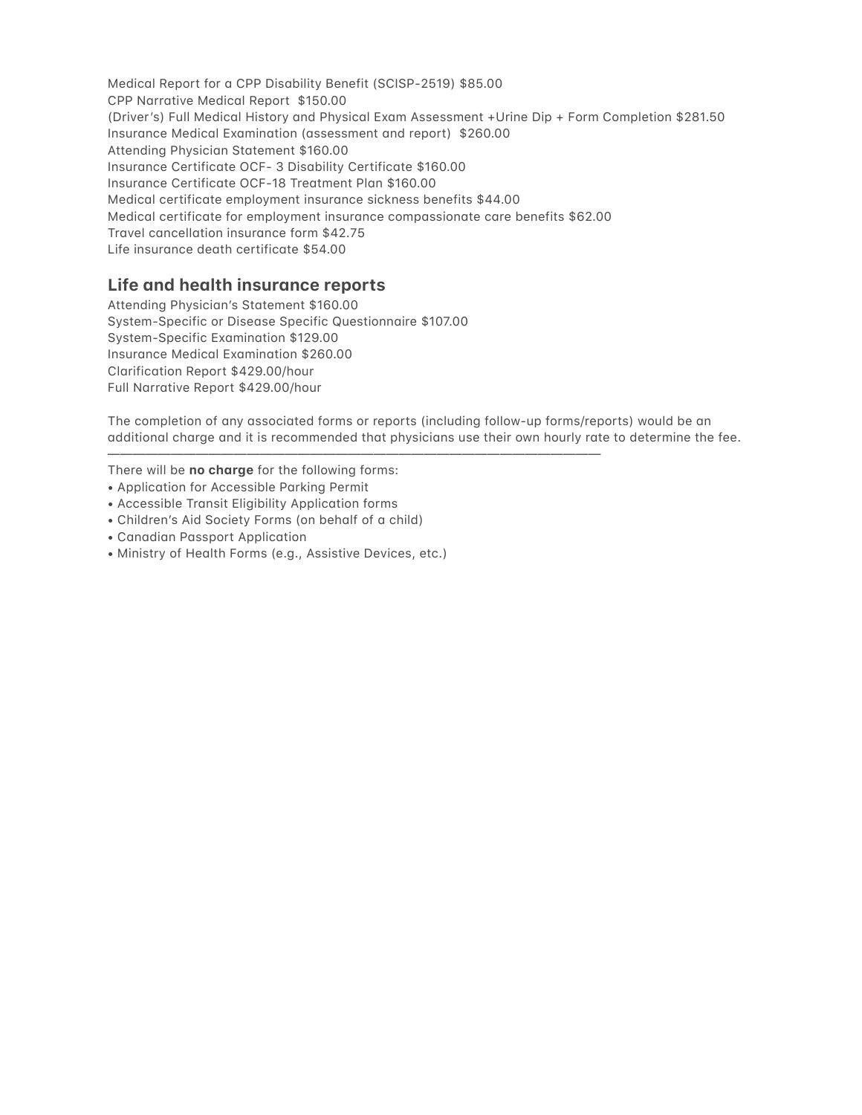Medical Report for a CPP Disability Benefit (SCISP-2519) \$85.00 CPP Narrative Medical Report \$150.00 (Driver's) Full Medical History and Physical Exam Assessment +Urine Dip + Form Completion \$281.50 Insurance Medical Examination (assessment and report) \$260.00 Attending Physician Statement \$160.00 Insurance Certificate OCF- 3 Disability Certificate \$160.00 Insurance Certificate OCF-18 Treatment Plan \$160.00 Medical certificate employment insurance sickness benefits \$44.00 Medical certificate for employment insurance compassionate care benefits \$62.00 Travel cancellation insurance form \$42.75 Life insurance death certificate \$54.00

## Life and health insurance reports

Attending Physician's Statement \$160.00 System-Specific or Disease Specific Questionnaire \$107.00 System-Specific Examination \$129.00 Insurance Medical Examination \$260.00 Clarification Report \$429.00/hour Full Narrative Report \$429.00/hour

The completion of any associated forms or reports (including follow-up forms/reports) would be an additional charge and it is recommended that physicians use their own hourly rate to determine the fee.

There will be no charge for the following forms:

- Application for Accessible Parking Permit
- Accessible Transit Eligibility Application forms
- Children's Aid Society Forms (on behalf of a child)
- Canadian Passport Application
- Ministry of Health Forms (e.g., Assistive Devices, etc.)